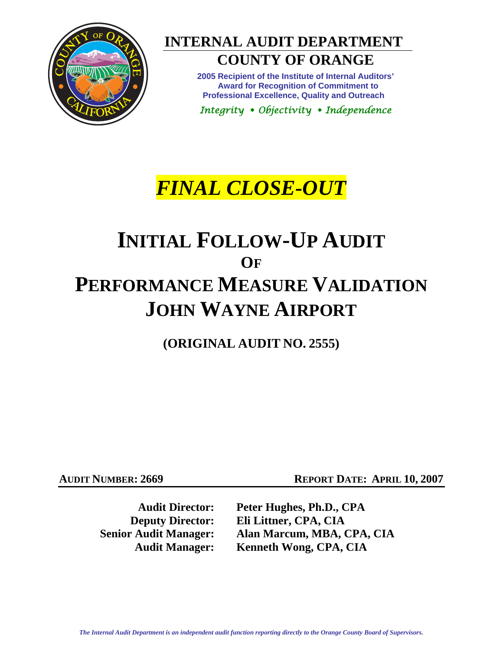

# **INTERNAL AUDIT DEPARTMENT**

## **COUNTY OF ORANGE**

**2005 Recipient of the Institute of Internal Auditors' Award for Recognition of Commitment to Professional Excellence, Quality and Outreach** 

*Integrity Objectivity Independence* 

# *FINAL CLOSE-OUT*

# **INITIAL FOLLOW-UP AUDIT OF PERFORMANCE MEASURE VALIDATION JOHN WAYNE AIRPORT**

**(ORIGINAL AUDIT NO. 2555)** 

**AUDIT NUMBER: 2669 REPORT DATE: APRIL 10, 2007** 

**Audit Director: Peter Hughes, Ph.D., CPA Deputy Director: Eli Littner, CPA, CIA Senior Audit Manager: Alan Marcum, MBA, CPA, CIA Audit Manager: Kenneth Wong, CPA, CIA**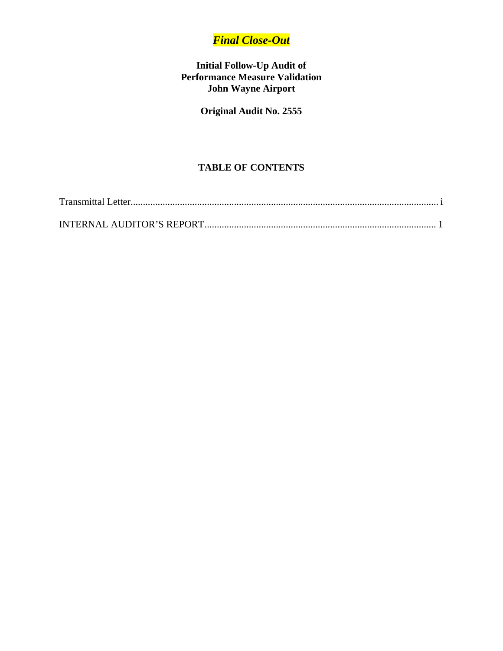### *Final Close-Out*

#### **Initial Follow-Up Audit of Performance Measure Validation John Wayne Airport**

### **Original Audit No. 2555**

#### **TABLE OF CONTENTS**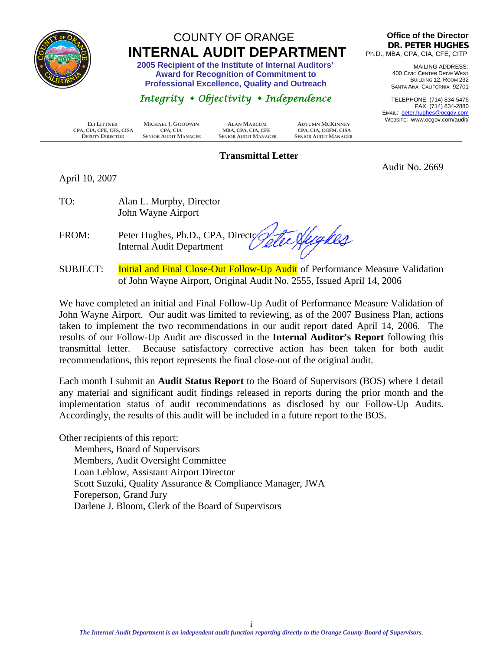<span id="page-2-0"></span>

## COUNTY OF ORANGE  **INTERNAL AUDIT DEPARTMENT 2005 Recipient of the Institute of Internal Auditors'**

 **Award for Recognition of Commitment to Professional Excellence, Quality and Outreach** 

### *Integrity Objectivity Independence*

**Office of the Director DR. PETER HUGHES** Ph.D., MBA, CPA, CIA, CFE, CITP

> MAILING ADDRESS: 400 CIVIC CENTER DRIVE WEST BUILDING 12, ROOM 232 SANTA ANA, CALIFORNIA 92701

TELEPHONE: (714) 834-5475 FAX: (714) 834-2880 EMAIL: peter.hughes@ocgov.com WEBSITE: www.ocgov.com/audit/

Audit No. 2669

| ELI LITTNER              | MICHAEL J. GOODWIN          | ALAN MARCUM                 | <b>AUTUMN MCKINNEY</b>      | VVEB |
|--------------------------|-----------------------------|-----------------------------|-----------------------------|------|
| CPA, CIA, CFE, CFS, CISA | CPA. CIA                    | MBA, CPA, CIA, CFE          | CPA, CIA, CGFM, CISA        |      |
| <b>DEPUTY DIRECTOR</b>   | <b>SENIOR AUDIT MANAGER</b> | <b>SENIOR AUDIT MANAGER</b> | <b>SENIOR AUDIT MANAGER</b> |      |

#### **Transmittal Letter**

April 10, 2007

TO: Alan L. Murphy, Director John Wayne Airport

FROM: Peter Hughes, Ph.D., CPA, Director Internal Audit Department

SUBJECT: Initial and Final Close-Out Follow-Up Audit of Performance Measure Validation of John Wayne Airport, Original Audit No. 2555, Issued April 14, 2006

We have completed an initial and Final Follow-Up Audit of Performance Measure Validation of John Wayne Airport. Our audit was limited to reviewing, as of the 2007 Business Plan, actions taken to implement the two recommendations in our audit report dated April 14, 2006. The results of our Follow-Up Audit are discussed in the **Internal Auditor's Report** following this transmittal letter. Because satisfactory corrective action has been taken for both audit recommendations, this report represents the final close-out of the original audit.

Each month I submit an **Audit Status Report** to the Board of Supervisors (BOS) where I detail any material and significant audit findings released in reports during the prior month and the implementation status of audit recommendations as disclosed by our Follow-Up Audits. Accordingly, the results of this audit will be included in a future report to the BOS.

Other recipients of this report: Members, Board of Supervisors Members, Audit Oversight Committee Loan Leblow, Assistant Airport Director Scott Suzuki, Quality Assurance & Compliance Manager, JWA Foreperson, Grand Jury Darlene J. Bloom, Clerk of the Board of Supervisors